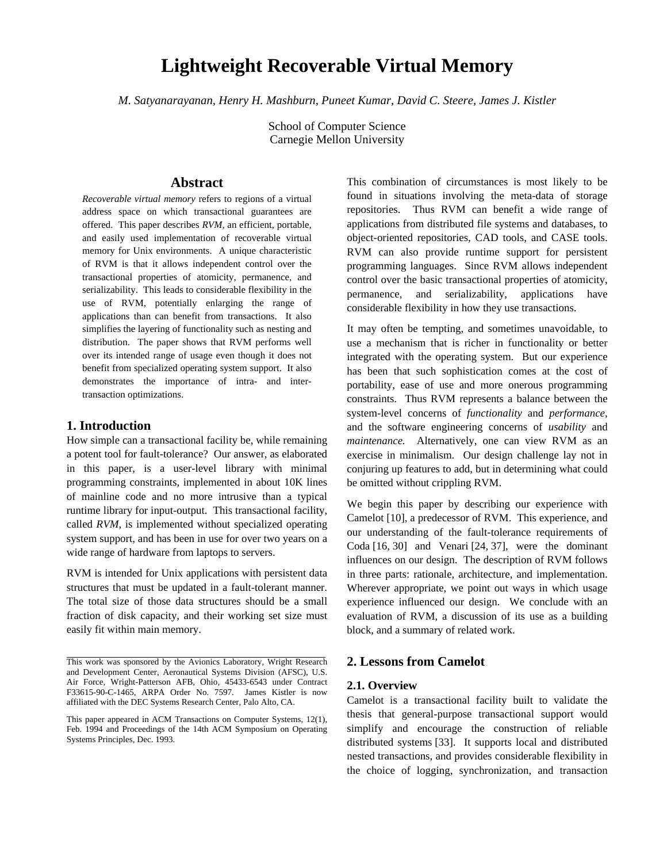## **Lightweight Recoverable Virtual Memory**

*M. Satyanarayanan, Henry H. Mashburn, Puneet Kumar, David C. Steere, James J. Kistler*

School of Computer Science Carnegie Mellon University

serializability. This leads to considerable flexibility in the permanence, and serializability, applications have<br>use of RVM, potentially enlarging the range of considerable flexibility in how they use transactions.<br>applic

a potent tool for fault-tolerance? Our answer, as elaborated exercise in minimalism. Our design challenge lay not in in this paper, is a user-level library with minimal conjuring up features to add, but in determining what could programming constraints, implemented in about 10K lines be omitted without crippling RVM.

structures that must be updated in a fault-tolerant manner. Wherever appropriate, we point out ways in which usage The total size of those data structures should be a small experience influenced our design. We conclude with an fraction of disk capacity, and their working set size must evaluation of RVM, a discussion of its use as a building easily fit within main memory. block, and a summary of related work.

**Abstract** This combination of circumstances is most likely to be *Recoverable virtual memory* refers to regions of a virtual found in situations involving the meta-data of storage address space on which transactional guarantees are repositories. Thus RVM can benefit a wide range of offered. This paper describes *RVM,* an efficient, portable, applications from distributed file systems and databases, to and easily used implementation of recoverable virtual object-oriented repositories, CAD tools, and CASE tools. memory for Unix environments. A unique characteristic RVM can also provide runtime support for persistent of RVM is that it allows independent control over the programming languages. Since RVM allows independent transactional properties of atomicity transactional properties of atomicity, permanence, and control over the basic transactional properties of atomicity, serializability. This leads to considerable flexibility in the companion and socializability applications

simplifies the layering of functionality such as nesting and It may often be tempting, and sometimes unavoidable, to distribution. The paper shows that RVM performs well use a mechanism that is richer in functionality or better over its intended range of usage even though it does not integrated with the operating system. But our experience benefit from specialized operating system support. It also has been that such sophistication comes at the cost of demonstrates the importance of intra- and inter-<br>portability assessed use and more operation programming demonstrates the importance of intra- and inter-<br>transaction optimizations.<br>constraints. Thus RVM represents a balance between the system-level concerns of *functionality* and *performance,* **1. Introduction** and the software engineering concerns of *usability* and How simple can a transactional facility be, while remaining *maintenance.* Alternatively, one can view RVM as an

of mainline code and no more intrusive than a typical<br>
runtime library for input-output. This transactional facility,<br>
called RVM, is implemented without specialized operating<br>
system support, and has been in use for over RVM is intended for Unix applications with persistent data in three parts: rationale, architecture, and implementation.

This paper appeared in ACM Transactions on Computer Systems, 12(1), thesis that general-purpose transactional support would<br>Feb. 1994 and Proceedings of the 14th ACM Symposium on Operating simplify and encourage the constr Systems Principles, Dec. 1993. distributed systems [33]. It supports local and distributed nested transactions, and provides considerable flexibility in the choice of logging, synchronization, and transaction

This work was sponsored by the Avionics Laboratory, Wright Research **2. Lessons from Camelot** and Development Center, Aeronautical Systems Division (AFSC), U.S.<br>Air Force, Wright-Patterson AFB, Ohio, 45433-6543 under Contract Air Force, Wright-Patterson AFB, Ohio, 45433-6543 under Contract **2.1. Overview** F33615-90-C-1465, ARPA Order No. 7597. James Kistler is now affiliated with the DEC Systems Research Center, Palo Alto, CA. Camelot is a transactional facility built to validate the

Feb. 1994 and Proceedings of the 14th ACM Symposium on Operating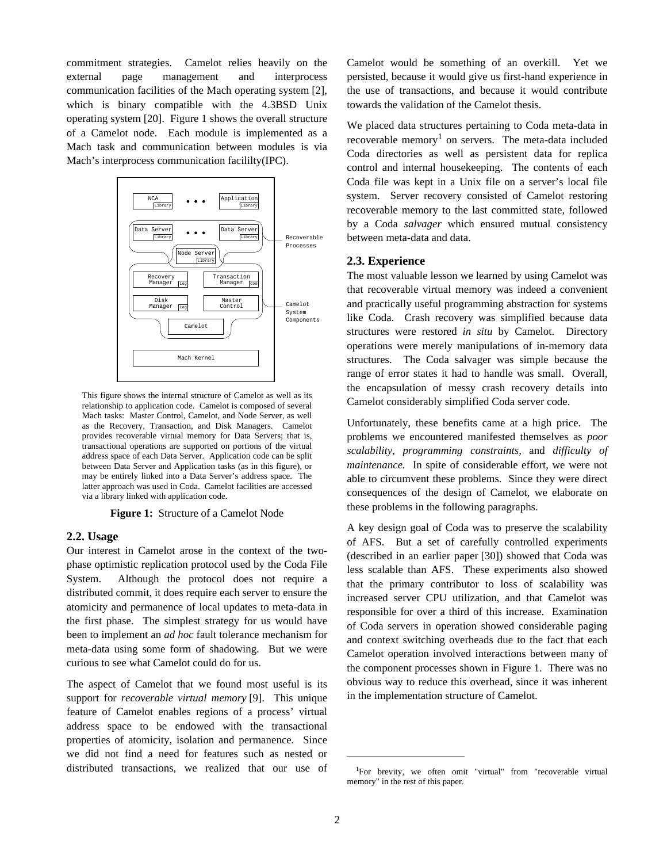commitment strategies. Camelot relies heavily on the Camelot would be something of an overkill. Yet we external page management and interprocess persisted, because it would give us first-hand experience in communication facilities of the Mach operating system [2], the use of transactions, and because it would contribute which is binary compatible with the 4.3BSD Unix towards the validation of the Camelot thesis. operating system [20]. Figure 1 shows the overall structure<br>of a Camelot node. Each module is implemented as a<br>Mach task and communication between modules is via<br>Mach's interprocess communication facililty(IPC).<br>Mach's int



Mach tasks: Master Control, Camelot, and Node Server, as well

support for *recoverable virtual memory* [9]. This unique in the implementation structure of Camelot. feature of Camelot enables regions of a process' virtual address space to be endowed with the transactional properties of atomicity, isolation and permanence. Since we did not find a need for features such as nested or distributed transactions, we realized that our use of

Coda file was kept in a Unix file on a server's local file system. Server recovery consisted of Camelot restoring recoverable memory to the last committed state, followed by a Coda *salvager* which ensured mutual consistency between meta-data and data.

### **2.3. Experience**

The most valuable lesson we learned by using Camelot was that recoverable virtual memory was indeed a convenient and practically useful programming abstraction for systems like Coda. Crash recovery was simplified because data structures were restored *in situ* by Camelot. Directory operations were merely manipulations of in-memory data structures. The Coda salvager was simple because the range of error states it had to handle was small. Overall, This figure shows the internal structure of Camelot as well as its<br>relationship to application code. Camelot is composed of several Camelot considerably simplified Coda server code.

as the Recovery, Transaction, and Disk Managers. Camelot Unfortunately, these benefits came at a high price. The provides recoverable virtual memory for Data Servers; that is, problems we encountered manifested themselves as *poor* transactional operations are supported on portions of the virtual transactional operations are supported on portions of the virtual *scalability, programming constraints,* and *difficulty of* address space of each Data Server. Application code can be split between Data Server and Applica maintenance. In spite of considerable effort, we were not may be entirely linked into a Data Server's address space. The able to circumvent these problems. Since they were direct latter approach was used in Coda. Camelot facilities are accessed via a library linked with application code. consequences of the design of Camelot, we elaborate on via a library linked with application code. these problems in the following paragraphs. **Figure 1:** Structure of a Camelot Node

**2.2. Usage**<br>
2.2. Usage<br>
Our interest in Camelot arose in the context of the two-<br>
phase optimistic replication protocol used by the Coda File<br>
System. Although the protocol does not require a<br>
distributed commit, it doe The aspect of Camelot that we found most useful is its obvious way to reduce this overhead, since it was inherent

<sup>&</sup>lt;sup>1</sup>For brevity, we often omit "virtual" from "recoverable virtual memory" in the rest of this paper.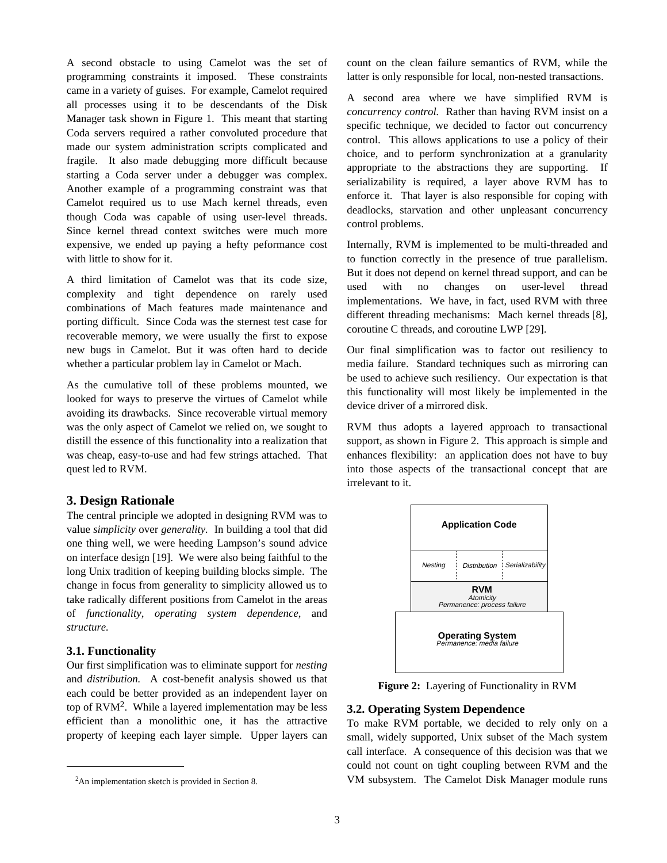A second obstacle to using Camelot was the set of count on the clean failure semantics of RVM, while the programming constraints it imposed. These constraints latter is only responsible for local, non-nested transactions. came in a variety of guises. For example, Camelot required<br>
all processes using it to be descendants of the Disk<br>
Manager task shown in Figure 1. This meant that starting<br>
Coda servers required a rather convoluted procedur expensive, we ended up paying a hefty peformance cost Internally, RVM is implemented to be multi-threaded and with little to show for it. to function correctly in the presence of true parallelism.

A third limitation of Camelot was that its code size,<br>complexity and tight dependence on rarely used with no changes on user-level thread<br>combinations of Mach features made maintenance and<br>porting difficult. Since Coda was new bugs in Camelot. But it was often hard to decide Our final simplification was to factor out resiliency to whether a particular problem lay in Camelot or Mach. media failure. Standard techniques such as mirroring can

was the only aspect of Camelot we relied on, we sought to RVM thus adopts a layered approach to transactional distill the essence of this functionality into a realization that support, as shown in Figure 2. This approach is simple and was cheap, easy-to-use and had few strings attached. That enhances flexibility: an application does not have to buy quest led to RVM. The state of the transactional concept that are aspects of the transactional concept that are

## **3. Design Rationale**

The central principle we adopted in designing RVM was to value *simplicity* over *generality.* In building a tool that did one thing well, we were heeding Lampson's sound advice on interface design [19]. We were also being faithful to the long Unix tradition of keeping building blocks simple. The change in focus from generality to simplicity allowed us to take radically different positions from Camelot in the areas of *functionality, operating system dependence,* and *structure.*

## **3.1. Functionality**

Our first simplification was to eliminate support for *nesting* and *distribution*. A cost-benefit analysis showed us that **Figure 2:** Layering of Functionality in RVM each could be better provided as an independent layer on top of RVM<sup>2</sup>. While a layered implementation may be less  $\frac{3.2.0}{\text{Operating System Dependence}}$ <br>efficient than a monolithic one, it has the attractive  $\frac{70}{\text{make RVM portable we decided}}$ 

As the cumulative toll of these problems mounted, we be used to achieve such resiliency. Our expectation is that<br>looked for ways to preserve the virtues of Camelot while<br>avoiding its drawbacks. Since recoverable virtual me

irrelevant to it.



To make RVM portable, we decided to rely only on a property of keeping each layer simple. Upper layers can small, widely supported, Unix subset of the Mach system call interface. A consequence of this decision was that we could not count on tight coupling between RVM and the VM subsystem. The Camelot Disk Manager module runs

 ${}^{2}$ An implementation sketch is provided in Section 8.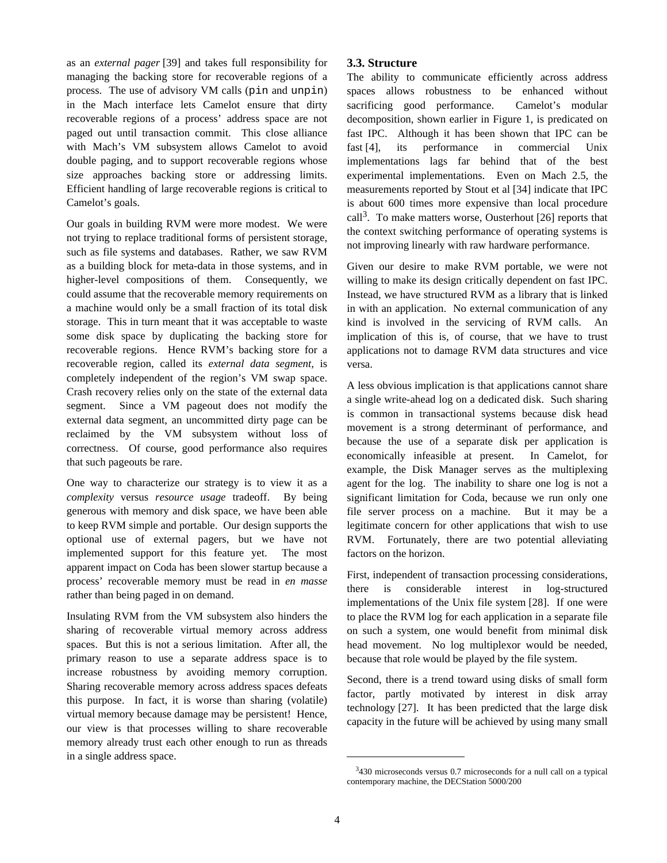as an *external pager* [39] and takes full responsibility for **3.3. Structure** managing the backing store for recoverable regions of a The ability to communicate efficiently across address process. The use of advisory VM calls (pin and unpin) spaces allows robustness to be enhanced without in the Mach interface lets Camelot ensure that dirty sacrificing good performance. Camelot's modular recoverable regions of a process' address space are not decomposition, shown earlier in Figure 1, is predicated on paged out until transaction commit. This close alliance fast IPC. Although it has been shown that IPC can be with Mach's VM subsystem allows Camelot to avoid fast [4], its performance in commercial Unix double paging, and to support recoverable regions whose implementations lags far behind that of the best size approaches backing store or addressing limits. experimental implementations. Even on Mach 2.5, the Efficient handling of large recoverable regions is critical to measurements reported by Stout et al [34] indicate that IPC Camelot's goals. is about 600 times more expensive than local procedure

Our goals in building RVM were more modest. We were<br>not trying to replace traditional forms of persistent storage,<br>such as file systems and databases. Rather, we saw RVM<br>not improving linearly with raw hardware performance as a building block for meta-data in those systems, and in Given our desire to make RVM portable, we were not higher-level compositions of them. Consequently, we willing to make its design critically dependent on fast IPC. could assume that the recoverable memory requirements on Instead, we have structured RVM as a library that is linked a machine would only be a small fraction of its total disk in with an application. No external communication of any storage. This in turn meant that it was acceptable to waste kind is involved in the servicing of RVM calls. An some disk space by duplicating the backing store for implication of this is, of course, that we have to trust recoverable regions. Hence RVM's backing store for a applications not to damage RVM data structures and vice recoverable region, called its *external data segment,* is versa. completely independent of the region's VM swap space.<br>Crash recovery relies only on the state of the external data<br>segment. Since a VM pageout does not modify the<br>external data segment, an uncommitted dirty page can be<br>rec

*complexity* versus *resource usage* tradeoff. By being significant limitation for Coda, because we run only one generous with memory and disk space, we have been able file server process on a machine. But it may be a to keep RVM simple and portable. Our design supports the legitimate concern for other applications that wish to use optional use of external pagers, but we have not RVM. Fortunately, there are two potential alleviating implemented support for this feature yet. The most factors on the horizon. apparent impact on Coda has been slower startup because a<br>process' recoverable memory must be read in *en masse*<br>rather than being paged in on demand.<br>in the system [28]. If one were

sharing of recoverable virtual memory across address on such a system, one would benefit from minimal disk spaces. But this is not a serious limitation. After all, the head movement. No log multiplexor would be needed, primary reason to use a separate address space is to because that role would be played by the file system. Sharing recoverable memory across address spaces defeats<br>this purpose. In fact, it is worse than sharing (volatile)<br>virtual memory because damage may be persistent! Hence,<br>our view is that processes willing to share recove memory already trust each other enough to run as threads in a single address space.

One way to characterize our strategy is to view it as a agent for the log. The inability to share one log is not a

Insulating RVM from the VM subsystem also hinders the to place the RVM log for each application in a separate file

<sup>3</sup> 430 microseconds versus 0.7 microseconds for a null call on a typical contemporary machine, the DECStation 5000/200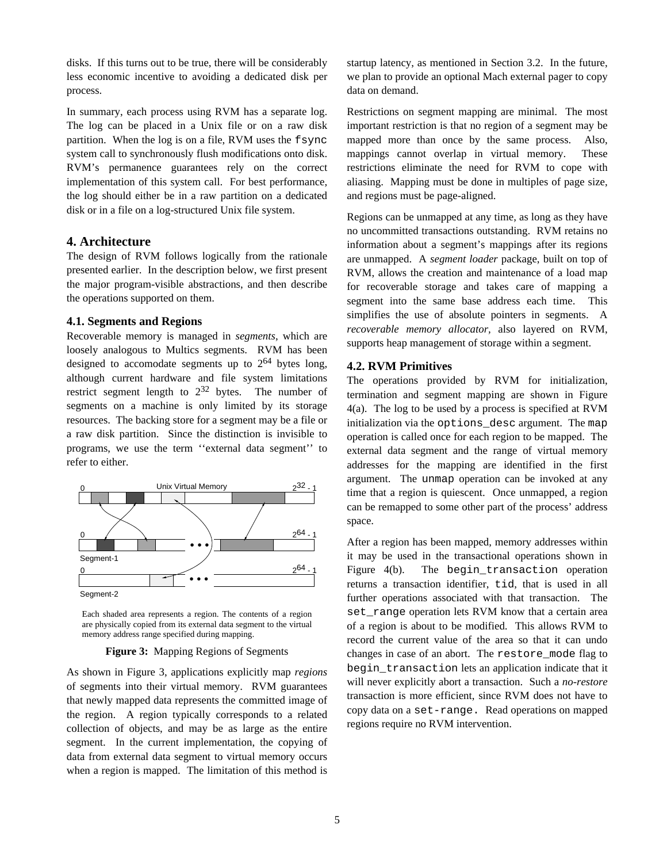less economic incentive to avoiding a dedicated disk per we plan to provide an optional Mach external pager to copy process.  $\theta$  data on demand.

The log can be placed in a Unix file or on a raw disk important restriction is that no region of a segment may be partition. When the log is on a file, RVM uses the fsync mapped more than once by the same process. Also, system call to synchronously flush modifications onto disk. mappings cannot overlap in virtual memory. These RVM's permanence guarantees rely on the correct restrictions eliminate the need for RVM to cope with implementation of this system call. For best performance, aliasing. Mapping must be done in multiples of page size, the log should either be in a raw partition on a dedicated and regions must be page-aligned. disk or in a file on a log-structured Unix file system.<br>Regions can be unmapped at any time, as long as they have

The design of RVM follows logically from the rationale are unmapped. A *segment loader* package, built on top of presented earlier. In the description below, we first present RVM allows the creation and maintenance of a lo presented earlier. In the description below, we first present RVM, allows the creation and maintenance of a load map<br>the major program-visible abstractions, and then describe for recoverable storage and takes care of mappi the major program-visible abstractions, and then describe for recoverable storage and takes care of mapping a<br>the operations supported on them.

designed to accomodate segments up to  $2^{64}$  bytes long, **4.2. RVM Primitives** although current hardware and file system limitations The operations provide although current hardware and file system limitations The operations provided by RVM for initialization, restrict segment length to  $2^{32}$  bytes. The number of termination and segment mapping are shown in Figure segments segments on a machine is only limited by its storage  $4(a)$ . The log to be used by a process is specified at RVM resources. The backing store for a segment may be a file or initialization via the ont i ons desc argument. T resources. The backing store for a segment may be a file or initialization via the options\_desc argument. The map<br>a raw disk partition. Since the distinction is invisible to operation is called once for each region to be m a raw disk partition. Since the distinction is invisible to operation is called once for each region to be mapped. The programs, we use the term "external data segment" to external data segment and the range of virtual mem programs, we use the term "external data segment" to external data segment and the range of virtual memory refer to either.



As shown in Figure 3, applications explicitly map regions<br>of segments into their virtual memory. RVM guarantees<br>that newly mapped data represents the committed image of<br>the region. A region typically corresponds to a relat segment. In the current implementation, the copying of data from external data segment to virtual memory occurs when a region is mapped. The limitation of this method is

disks. If this turns out to be true, there will be considerably startup latency, as mentioned in Section 3.2. In the future,

In summary, each process using RVM has a separate log. Restrictions on segment mapping are minimal. The most

no uncommitted transactions outstanding. RVM retains no **4. Architecture**<br>The design of RVM follows logically from the rationale are unmanned. A *segment loader* package built on top of segment into the same base address each time. This **4.1. Segments and Regions** simplifies the use of absolute pointers in segments. A<br>Recoverable memory is managed in *segments*, which are *recoverable memory allocator*, also layered on RVM,<br>loosely analogous to Multics se

addresses for the mapping are identified in the first argument. The unmap operation can be invoked at any time that a region is quiescent. Once unmapped, a region can be remapped to some other part of the process' address space.

After a region has been mapped, memory addresses within it may be used in the transactional operations shown in Figure 4(b). The begin\_transaction operation returns a transaction identifier, tid, that is used in all Segment-2 further operations associated with that transaction. The Each shaded area represents a region. The contents of a region set\_range operation lets RVM know that a certain area are physically copied from its external data segment to the virtual of a region is about to be modified. This allows RVM to<br>memory address range specified during mapping.<br>**Figure 3:** Mapping Regions of Segments changes in changes in case of an abort. The restore\_mode flag to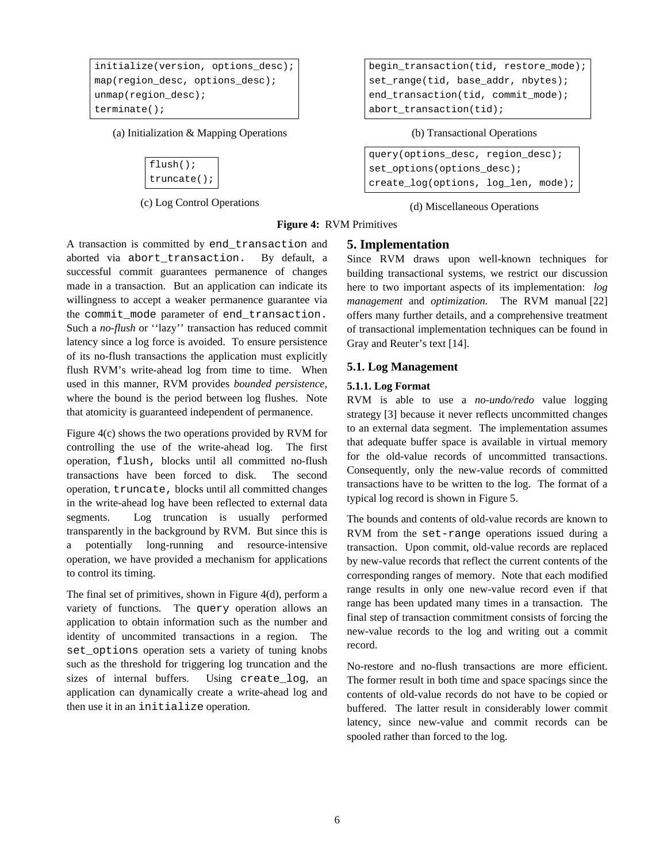```
terminate(); example terminate(); the set of \vert abort_transaction(tid);
```
(a) Initialization & Mapping Operations (b) Transactional Operations

| flush()        |  |
|----------------|--|
| $truncated)$ ; |  |

(c) Log Control Operations (d) Miscellaneous Operations

initialize(version, options\_desc); begin\_transaction(tid, restore\_mode); map(region desc, options desc);  $\vert$  set range(tid, base addr, nbytes); unmap(region\_desc); end\_transaction(tid, commit\_mode);

|             | query(options_desc, region_desc);   |  |
|-------------|-------------------------------------|--|
| flush();    | set_options(options_desc);          |  |
| truncate(); | create_log(options, log_len, mode); |  |

### **Figure 4:** RVM Primitives

# A transaction is committed by end\_transaction and **5. Implementation**

aborted via abort\_transaction. By default, a Since RVM draws upon well-known techniques for successful commit guarantees permanence of changes building transactional systems, we restrict our discussion made in a transaction. But an application can indicate its here to two important aspects of its implementation: *log* willingness to accept a weaker permanence guarantee via *management* and *optimization.* The RVM manual [22] the commit\_mode parameter of end\_transaction. offers many further details, and a comprehensive treatment Such a *no-flush* or "lazy" transaction has reduced commit of transactional implementation techniques can be found in latency since a log force is avoided. To ensure persistence Gray and Reuter's text [14]. of its no-flush transactions the application must explicitly **5.1. Log Management** flush RVM's write-ahead log from time to time. When used in this manner, RVM provides *bounded persistence*, **5.1.1. Log Format** where the bound is the period between log flushes. Note RVM is able to use a *no-undo/redo* value logging

Consequently, only the new-value records of committed transactions have been forced to disk. The second transactions have to be written to the log. The format of a operation, truncate, blocks until all committed changes in the write-ahead log have been reflected to external data typical log record is shown in Figure 5. segments. Log truncation is usually performed The bounds and contents of old-value records are known to transparently in the background by RVM. But since this is RVM from the set-range operations issued during a<br>a potentially long-running and resource-intensive transaction. Upon commit, old-value records are replaced operation, we have provided a mechanism for applications by new-value records that reflect the current contents of the

The final set of primitives, shown in Figure 4(d), perform a<br>variety of functions. The query operation allows an<br>application to obtain information such as the number and<br>identity of uncommited transactions in a region. The such as the threshold for triggering log truncation and the No-restore and no-flush transactions are more efficient. sizes of internal buffers. Using create\_log, an The former result in both time and space spacings since the application can dynamically create a write-ahead log and contents of old-value records do not have to be copied or

that atomicity is guaranteed independent of permanence. strategy [3] because it never reflects uncommitted changes Figure 4(c) shows the two operations provided by RVM for<br>controlling the use of the write-ahead log. The first that adequate buffer space is available in virtual memory<br>operation, flush, blocks until all committed no-flush

and resource-intensive transaction. Upon commit, old-value records are replaced to control its timing. corresponding ranges of memory. Note that each modified

then use it in an initialize operation. buffered. The latter result in considerably lower commit latency, since new-value and commit records can be spooled rather than forced to the log.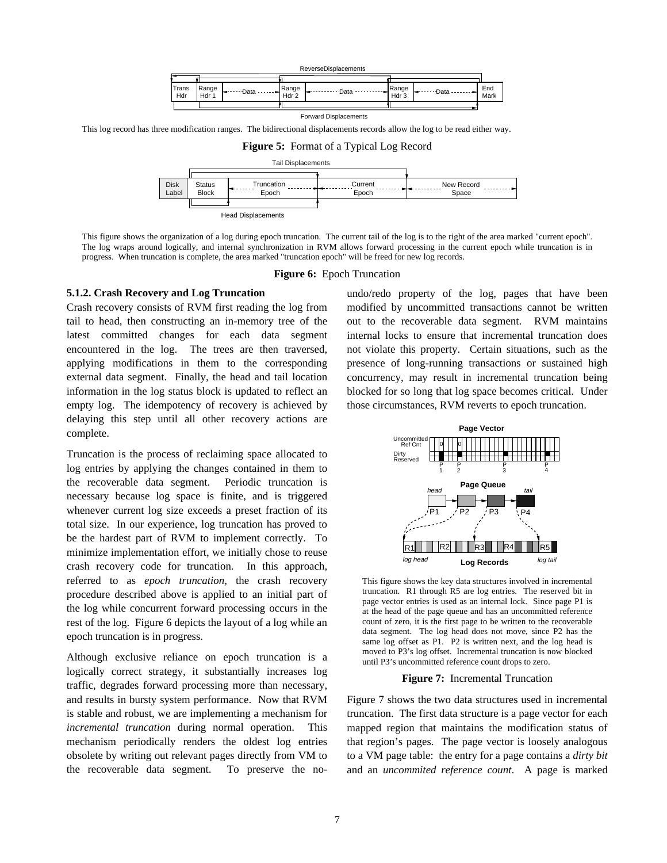| <b>ReverseDisplacements</b> |                |  |                |                               |                |                             |             |  |
|-----------------------------|----------------|--|----------------|-------------------------------|----------------|-----------------------------|-------------|--|
|                             |                |  |                |                               |                |                             |             |  |
| Trans<br>Hdr                | Range<br>Hdr 1 |  | Range<br>Hdr 2 | Data<br>--------- <b>--</b> 1 | Range<br>Hdr 3 | . <b>. Data</b><br>-------- | End<br>Marl |  |
|                             |                |  |                |                               |                |                             |             |  |

Forward Displacements

This log record has three modification ranges. The bidirectional displacements records allow the log to be read either way.

**Figure 5:** Format of a Typical Log Record



This figure shows the organization of a log during epoch truncation. The current tail of the log is to the right of the area marked "current epoch". The log wraps around logically, and internal synchronization in RVM allows forward processing in the current epoch while truncation is in progress. When truncation is complete, the area marked "truncation epoch" will be freed for new log records.

**Figure 6:** Epoch Truncation

Crash recovery consists of RVM first reading the log from modified by uncommitted transactions cannot be written tail to head, then constructing an in-memory tree of the out to the recoverable data segment. RVM maintains latest committed changes for each data segment internal locks to ensure that incremental truncation does encountered in the log. The trees are then traversed, not violate this property. Certain situations, such as the applying modifications in them to the corresponding presence of long-running transactions or sustained high external data segment. Finally, the head and tail location concurrency, may result in incremental truncation being information in the log status block is updated to reflect an blocked for so long that log space becomes critical. Under empty log. The idempotency of recovery is achieved by those circumstances, RVM reverts to epoch truncation. delaying this step until all other recovery actions are complete.

Truncation is the process of reclaiming space allocated to log entries by applying the changes contained in them to the recoverable data segment. Periodic truncation is necessary because log space is finite, and is triggered whenever current log size exceeds a preset fraction of its total size. In our experience, log truncation has proved to be the hardest part of RVM to implement correctly. To minimize implementation effort, we initially chose to reuse  $\frac{R3 \times R3}{\log head}$  R3 R4 R5 R5 crash recovery code for truncation. In this approach, referred to as *epoch truncation*, the crash recovery This figure shows the key data structures involved in incremental procedure described above is applied to an initial part of<br>truncation. R1 through R5 are log entries. The reserved bit in<br>the log while concurrent forward processing occurs in the<br>rest of the log. Figure 6 denicts the layo rest of the log. Figure 6 depicts the layout of a log while an count of zero, it is the first page to be written to the recoverable<br>data segment. The log head does not move, since P2 has the

Although exclusive reliance on epoch truncation is a until P3's log offset. Incremental truncation is now blocked until P3's uncommitted reference count drops to zero.<br>  $\frac{1}{2}$  logically correct strategy, it substantial logically correct strategy, it substantially increases log **Figure 7:** Incremental Truncation traffic, degrades forward processing more than necessary, and results in bursty system performance. Now that RVM Figure 7 shows the two data structures used in incremental is stable and robust, we are implementing a mechanism for truncation. The first data structure is a page vector for each *incremental truncation* during normal operation. This mapped region that maintains the modification status of mechanism periodically renders the oldest log entries that region's pages. The page vector is loosely analogous obsolete by writing out relevant pages directly from VM to to a VM page table: the entry for a page contains a *dirty bit* the recoverable data segment. To preserve the no- and an *uncommited reference count*. A page is marked

**5.1.2. Crash Recovery and Log Truncation** undo/redo property of the log, pages that have been



epoch truncation is in progress.<br>same log offset as P1. P2 is written next, and the log head is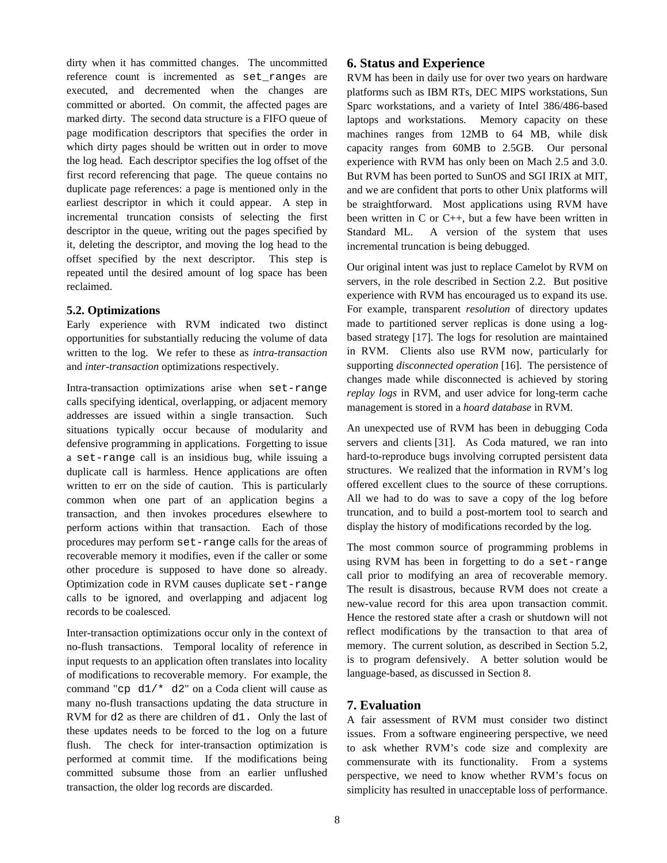dirty when it has committed changes. The uncommitted **6. Status and Experience** reference count is incremented as set\_ranges are RVM has been in daily use for over two years on hardware executed, and decremented when the changes are platforms such as IBM RTs, DEC MIPS workstations, Sun committed or aborted. On commit, the affected pages are Sparc workstations, and a variety of Intel 386/486-based marked dirty. The second data structure is a FIFO queue of laptops and workstations. Memory capacity on these page modification descriptors that specifies the order in machines ranges from 12MB to 64 MB, while disk which dirty pages should be written out in order to move capacity ranges from 60MB to 2.5GB. Our personal the log head. Each descriptor specifies the log offset of the experience with RVM has only been on Mach 2.5 and 3.0. first record referencing that page. The queue contains no But RVM has been ported to SunOS and SGI IRIX at MIT, duplicate page references: a page is mentioned only in the and we are confident that ports to other Unix platforms will earliest descriptor in which it could appear. A step in be straightforward. Most applications using RVM have incremental truncation consists of selecting the first been written in C or  $C_{++}$ , but a few have been written in descriptor in the queue, writing out the pages specified by Standard ML. A version of the system that uses it, deleting the descriptor, and moving the log head to the incremental truncation is being debugged. offset specified by the next descriptor. This step is<br>repeated until the desired amount of log space has been<br>reclaimed.<br>Reflection 2.2. But positive<br>reclaimed.

opportunities for substantially reducing the volume of data based strategy [17]. The logs for resolution are maintained written to the log. We refer to these as *intra-transaction* in RVM. Clients also use RVM now, particularly for and *inter-transaction* optimizations respectively. supporting *disconnected operation* [16]. The persistence of

addresses are issued within a single transaction. Such situations typically occur because of modularity and An unexpected use of RVM has been in debugging Coda defensive programming in applications. Forgetting to issue servers and clients [31]. As Coda matured, we ran into a set-range call is an insidious bug, while issuing a hard-to-reproduce bugs involving corrupted persistent data duplicate call is harmless. Hence applications are often structures. We realized that the information in RVM's log written to err on the side of caution. This is particularly offered excellent clues to the source of these corruptions. common when one part of an application begins a All we had to do was to save a copy of the log before transaction, and then invokes procedures elsewhere to truncation, and to build a post-mortem tool to search and perform actions within that transaction. Each of those display the history of modifications recorded by the log.

no-flush transactions. Temporal locality of reference in memory. The current solution, as described in Section 5.2, input requests to an application often translates into locality is to program defensively. A better solution would be of modifications to recoverable memory. For example, the language-based, as discussed in Section 8. command "cp  $d1/* d2"$  on a Coda client will cause as many no-flush transactions updating the data structure in **7. Evaluation** RVM for d2 as there are children of d1. Only the last of  $\overrightarrow{A}$  fair assessment RVM for d2 as there are children of d1. Only the last of A fair assessment of RVM must consider two distinct these updates needs to be forced to the log on a future issues. From a software engineering perspective we need flush. The check for inter-transaction optimization is to ask whether RVM's code size and complexity are performed at commit time. If the modifications being commensurate with its functionality. From a systems committed subsume those from an earlier unflushed perspective, we need to know whether RVM's focus on

experience with RVM has encouraged us to expand its use. **5.2. Optimizations** For example, transparent *resolution* of directory updates Early experience with RVM indicated two distinct made to partitioned server replicas is done using a log-Intra-transaction optimizations arise when set-range changes made while disconnected is achieved by storing<br>calls specifying identical, overlapping, or adjacent memory management is stored in a *hoard database* in RVM.

procedures may perform set-range calls for the areas of<br>recoverable memory it modifies, even if the caller or some<br>other procedure is supposed to have done so already.<br>Optimization code in RVM causes duplicate set-range<br>ca Inter-transaction optimizations occur only in the context of reflect modifications by the transaction to that area of

the updates needs to be forced to the log on a future issues. From a software engineering perspective, we need<br>The check for inter-transaction optimization is to ask whether RVM's code size and complexity are transaction, the older log records are discarded. simplicity has resulted in unacceptable loss of performance.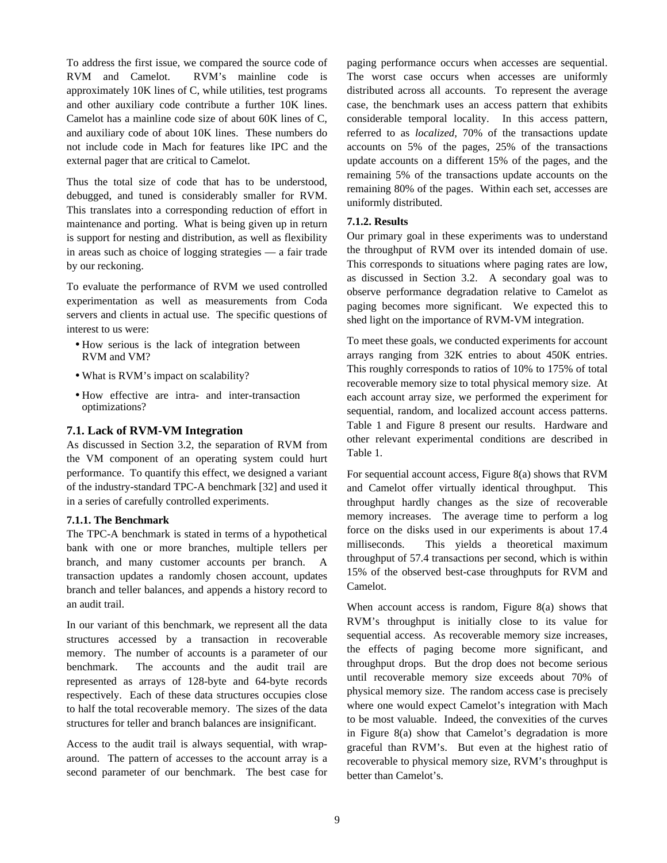To address the first issue, we compared the source code of paging performance occurs when accesses are sequential. RVM and Camelot. RVM's mainline code is The worst case occurs when accesses are uniformly approximately 10K lines of C, while utilities, test programs distributed across all accounts. To represent the average and other auxiliary code contribute a further 10K lines. case, the benchmark uses an access pattern that exhibits Camelot has a mainline code size of about 60K lines of C, considerable temporal locality. In this access pattern, and auxiliary code of about 10K lines. These numbers do referred to as *localized,* 70% of the transactions update not include code in Mach for features like IPC and the accounts on 5% of the pages, 25% of the transactions external pager that are critical to Camelot. update accounts on a different 15% of the pages, and the

Thus the total size of code that has to be understood,<br>debugged, and tuned is considerably smaller for RVM.<br>This translates into a corresponding reduction of effort in<br>maintenance and porting. What is being given up in ret maintenance and porting. What is being given up in return is support for nesting and distribution, as well as flexibility Our primary goal in these experiments was to understand in areas such as choice of logging strategies  $-$  a fair trade the throughput of RVM over its intended domain of use. by our reckoning. This corresponds to situations where paging rates are low,

To evaluate the performance of RVM we used controlled<br>experimentation as well as measurements from Coda<br>experimentation as well as measurements from Coda<br>servers and clients in actual use. The specific questions of<br>interes

- 
- 
- 

performance. To quantify this effect, we designed a variant For sequential account access, Figure 8(a) shows that RVM of the industry-standard TPC-A benchmark [32] and used it and Camelot offer virtually identical throughput. This

The TPC-A benchmark is stated in terms of a hypothetical<br>hank with one or more branches multiple tellers per milliseconds. This yields a theoretical maximum bank with one or more branches, multiple tellers per milliseconds. This yields a theoretical maximum<br>branch and many customer accounts per branch a throughput of 57.4 transactions per second, which is within throughput of 57.4 transactions per second, which is within branch, and many customer accounts per branch. A throughput of 57.4 transactions per second, which is within branching transaction undetection undetection and the transaction updates a randomly chosen account, updates  $15\%$  of the observed behavior  $\frac{15\%}{20}$  Camelot. branch and teller balances, and appends a history record to an audit trail. When account access is random, Figure 8(a) shows that

structures accessed by a transaction in recoverable sequential access. As recoverable memory size increases, memory size increases, the effects of paging become more significant, and memory. The number of accounts is a parameter of our benchmark. The accounts and the audit trail are throughput drops. But the drop does not become serious represented as arrays of 128-byte and 64-byte records until recoverable memory size exceeds about 70% of reprectively. Each of these data structures occupies close thysical memory size. The random access case is precisely respectively. Each of these data structures occupies close physical memory size. The random access case is precisely<br>to half the total recoverable memory. The sizes of the data where one would expect Camelot's integration to half the total recoverable memory. The sizes of the data structures for teller and branch balances are insignificant. to be most valuable. Indeed, the convexities of the curves

Access to the audit trail is always sequential, with wrap-<br>around. The pattern of accesses to the account array is a<br>recoverable to physical memory size RVM's throughput is second parameter of our benchmark. The best case for better than Camelot's.

• How serious is the lack of integration between To meet these goals, we conducted experiments for account RVM and VM? **arrays ranging from 32K entries to about 450K entries.** • What is RVM's impact on scalability?<br>• How effective are intra- and inter-transaction • How effective are intra- and inter-transaction • How effective are intra- and inter-transaction • each account array size, we perfor • How effective are intra- and inter-transaction each account array size, we performed the experiment for sequential, random, and localized account access patterns. **7.1. Lack of RVM-VM Integration**<br>As discussed in Section 3.2, the separation of RVM from<br>the VM component of an operating system could hurt<br>Table 1.<br>Table 1.

in a series of carefully controlled experiments. throughput hardly changes as the size of recoverable 7.1.1. The Benchmark<br>The TPC-A benchmark is stated in terms of a hypothetical force on the disks used in our experiments is about 17.4

In our variant of this benchmark, we represent all the data RVM's throughput is initially close to its value for represent all the data sequential access. As recoverable memory size increases, in Figure 8(a) show that Camelot's degradation is more recoverable to physical memory size, RVM's throughput is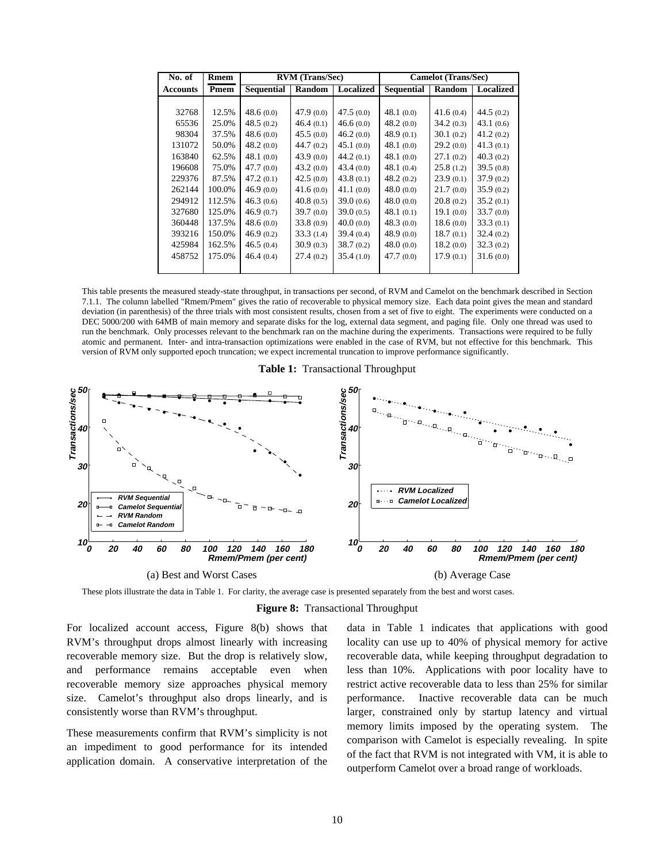| No. of          | <b>Rmem</b> | <b>RVM</b> (Trans/Sec) |           |                  |                   | <b>Camelot</b> (Trans/Sec) |              |
|-----------------|-------------|------------------------|-----------|------------------|-------------------|----------------------------|--------------|
| <b>Accounts</b> | Pmem        | <b>Sequential</b>      | Random    | <b>Localized</b> | <b>Sequential</b> | Random                     | Localized    |
|                 |             |                        |           |                  |                   |                            |              |
| 32768           | 12.5%       | 48.6(0.0)              | 47.9(0.0) | 47.5(0.0)        | 48.1(0.0)         | 41.6(0.4)                  | 44.5 $(0.2)$ |
| 65536           | 25.0%       | 48.5 $(0.2)$           | 46.4(0.1) | 46.6(0.0)        | 48.2(0.0)         | 34.2(0.3)                  | 43.1(0.6)    |
| 98304           | 37.5%       | 48.6(0.0)              | 45.5(0.0) | 46.2(0.0)        | 48.9(0.1)         | 30.1(0.2)                  | 41.2(0.2)    |
| 131072          | 50.0%       | 48.2(0.0)              | 44.7(0.2) | 45.1(0.0)        | 48.1(0.0)         | 29.2(0.0)                  | 41.3(0.1)    |
| 163840          | 62.5%       | 48.1(0.0)              | 43.9(0.0) | 44.2(0.1)        | 48.1(0.0)         | 27.1(0.2)                  | 40.3(0.2)    |
| 196608          | 75.0%       | 47.7(0.0)              | 43.2(0.0) | 43.4(0.0)        | 48.1(0.4)         | 25.8(1.2)                  | 39.5(0.8)    |
| 229376          | 87.5%       | 47.2(0.1)              | 42.5(0.0) | 43.8(0.1)        | 48.2(0.2)         | 23.9(0.1)                  | 37.9(0.2)    |
| 262144          | 100.0%      | 46.9(0.0)              | 41.6(0.0) | 41.1(0.0)        | 48.0(0.0)         | 21.7(0.0)                  | 35.9(0.2)    |
| 294912          | 112.5%      | 46.3(0.6)              | 40.8(0.5) | 39.0(0.6)        | 48.0(0.0)         | 20.8(0.2)                  | 35.2(0.1)    |
| 327680          | 125.0%      | 46.9(0.7)              | 39.7(0.0) | 39.0(0.5)        | 48.1(0.1)         | 19.1(0.0)                  | 33.7(0.0)    |
| 360448          | 137.5%      | 48.6(0.0)              | 33.8(0.9) | 40.0(0.0)        | 48.3(0.0)         | 18.6(0.0)                  | 33.3(0.1)    |
| 393216          | 150.0%      | 46.9(0.2)              | 33.3(1.4) | 39.4(0.4)        | 48.9 $(0.0)$      | 18.7(0.1)                  | 32.4(0.2)    |
| 425984          | 162.5%      | 46.5(0.4)              | 30.9(0.3) | 38.7(0.2)        | 48.0 $(0.0)$      | 18.2(0.0)                  | 32.3(0.2)    |
| 458752          | 175.0%      | 46.4(0.4)              | 27.4(0.2) | 35.4(1.0)        | 47.7(0.0)         | 17.9(0.1)                  | 31.6(0.0)    |
|                 |             |                        |           |                  |                   |                            |              |

This table presents the measured steady-state throughput, in transactions per second, of RVM and Camelot on the benchmark described in Section 7.1.1. The column labelled "Rmem/Pmem" gives the ratio of recoverable to physical memory size. Each data point gives the mean and standard deviation (in parenthesis) of the three trials with most consistent results, chosen from a set of five to eight. The experiments were conducted on a DEC 5000/200 with 64MB of main memory and separate disks for the log, external data segment, and paging file. Only one thread was used to run the benchmark. Only processes relevant to the benchmark ran on the machine during the experiments. Transactions were required to be fully atomic and permanent. Inter- and intra-transaction optimizations were enabled in the case of RVM, but not effective for this benchmark. This version of RVM only supported epoch truncation; we expect incremental truncation to improve performance significantly.





These plots illustrate the data in Table 1. For clarity, the average case is presented separately from the best and worst cases.

### **Figure 8:** Transactional Throughput

For localized account access, Figure 8(b) shows that data in Table 1 indicates that applications with good RVM's throughput drops almost linearly with increasing locality can use up to 40% of physical memory for active recoverable memory size. But the drop is relatively slow, recoverable data, while keeping throughput degradation to and performance remains acceptable even when less than 10%. Applications with poor locality have to recoverable memory size approaches physical memory restrict active recoverable data to less than 25% for similar size. Camelot's throughput also drops linearly, and is performance. Inactive recoverable data can be much consistently worse than RVM's throughput. larger, constrained only by startup latency and virtual These measurements confirm that RVM's simplicity is not<br>an impediment to good performance for its intended<br>application domain. A conservative interpretation of the outperform Camelot over a broad range of workloads.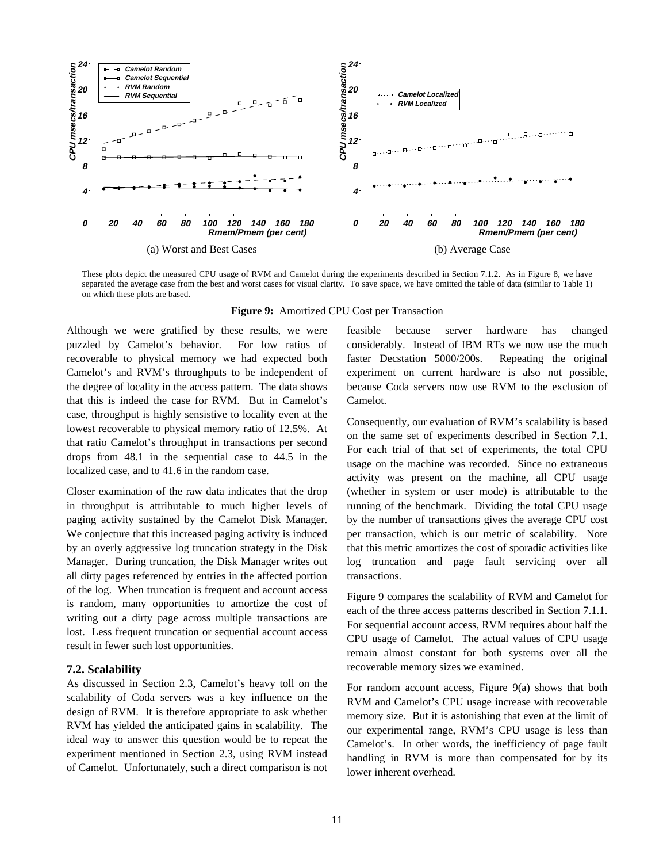

These plots depict the measured CPU usage of RVM and Camelot during the experiments described in Section 7.1.2. As in Figure 8, we have separated the average case from the best and worst cases for visual clarity. To save space, we have omitted the table of data (similar to Table 1) on which these plots are based.

### **Figure 9:** Amortized CPU Cost per Transaction

puzzled by Camelot's behavior. For low ratios of considerably. Instead of IBM RTs we now use the much recoverable to physical memory we had expected both faster Decstation 5000/200s. Repeating the original Camelot's and RVM's throughputs to be independent of experiment on current hardware is also not possible, the degree of locality in the access pattern. The data shows because Coda servers now use RVM to the exclusion of that this is indeed the case for RVM. But in Camelot's Camelot.

Closer examination of the raw data indicates that the drop (whether in system or user mode) is attributable to the in throughput is attributable to much higher levels of running of the benchmark. Dividing the total CPU usage paging activity sustained by the Camelot Disk Manager. by the number of transactions gives the average CPU cost We conjecture that this increased paging activity is induced per transaction, which is our metric of scalability. Note by an overly aggressive log truncation strategy in the Disk that this metric amortizes the cost of sporadic activities like Manager. During truncation, the Disk Manager writes out log truncation and page fault servicing over all all dirty pages referenced by entries in the affected portion transactions. of the log. When truncation is frequent and account access<br>is random, many opportunities to amortize the cost of<br>writing out a dirty page across multiple transactions are<br>lost. Less frequent truncation or sequential accoun

As discussed in Section 2.3, Camelot's heavy toll on the<br>scalability of Coda servers was a key influence on the<br>design of RVM. It is therefore appropriate to ask whether<br>RVM has yielded the anticipated gains in scalability

Although we were gratified by these results, we were feasible because server hardware has changed

case, throughput is highly sensistive to locality even at the<br>lowest recoverable to physical memory ratio of 12.5%. At<br>that ratio Camelot's throughput in transactions per second<br>drops from 48.1 in the sequential case to 44

**7.2. Scalability** recoverable memory sizes we examined.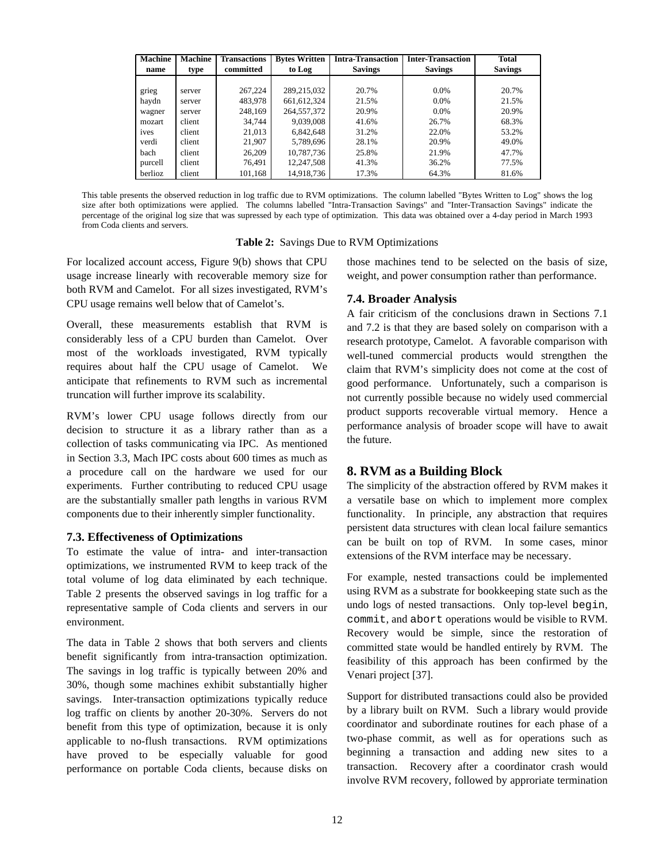| <b>Machine</b><br>name | <b>Machine</b><br>type | <b>Transactions</b><br>committed | <b>Bytes Written</b><br>to Log | <b>Intra-Transaction</b><br><b>Savings</b> | <b>Inter-Transaction</b><br><b>Savings</b> | <b>Total</b><br><b>Savings</b> |
|------------------------|------------------------|----------------------------------|--------------------------------|--------------------------------------------|--------------------------------------------|--------------------------------|
|                        |                        |                                  |                                |                                            |                                            |                                |
| grieg                  | server                 | 267.224                          | 289,215,032                    | 20.7%                                      | $0.0\%$                                    | 20.7%                          |
| haydn                  | server                 | 483,978                          | 661, 612, 324                  | 21.5%                                      | $0.0\%$                                    | 21.5%                          |
| wagner                 | server                 | 248,169                          | 264,557,372                    | 20.9%                                      | $0.0\%$                                    | 20.9%                          |
| mozart                 | client                 | 34,744                           | 9,039,008                      | 41.6%                                      | 26.7%                                      | 68.3%                          |
| ives                   | client                 | 21,013                           | 6,842,648                      | 31.2%                                      | 22.0%                                      | 53.2%                          |
| verdi                  | client                 | 21,907                           | 5,789,696                      | 28.1%                                      | 20.9%                                      | 49.0%                          |
| bach                   | client                 | 26,209                           | 10,787,736                     | 25.8%                                      | 21.9%                                      | 47.7%                          |
| purcell                | client                 | 76.491                           | 12,247,508                     | 41.3%                                      | 36.2%                                      | 77.5%                          |
| berlioz                | client                 | 101,168                          | 14.918.736                     | 17.3%                                      | 64.3%                                      | 81.6%                          |

This table presents the observed reduction in log traffic due to RVM optimizations. The column labelled "Bytes Written to Log" shows the log size after both optimizations were applied. The columns labelled "Intra-Transaction Savings" and "Inter-Transaction Savings" indicate the percentage of the original log size that was supressed by each type of optimization. This data was obtained over a 4-day period in March 1993 from Coda clients and servers.

**Table 2:** Savings Due to RVM Optimizations

For localized account access, Figure 9(b) shows that CPU those machines tend to be selected on the basis of size, usage increase linearly with recoverable memory size for weight, and power consumption rather than performance. both RVM and Camelot. For all sizes investigated, RVM's<br> **7.4. Broader Analysis**<br>
A fair criticism of the conclusions drawn in Sections 7.1

Overall, these measurements establish that RVM is and 7.2 is that they are based solely on comparison with a considerably less of a CPU burden than Camelot. Over research prototype Camelot. A favorable comparison with considerably less of a CPU burden than Camelot. Over research prototype, Camelot. A favorable comparison with most of the workloads investigated, RVM typically well-tuned commercial products would strengthen the most of the workloads investigated, RVM typically well-tuned commercial products would strengthen the requires about half the CPU usage of Camelot. We claim that RVM's simplicity does not come at the cost of requires about half the CPU usage of Camelot. We claim that RVM's simplicity does not come at the cost of anticipate that refinements to RVM such as incremental and performance. Unfortunately such a comparison is anticipate that refinements to RVM such as incremental good performance. Unfortunately, such a comparison is truncation will further improve its scalability.

RVM's lower CPU usage follows directly from our product supports recoverable virtual memory. Hence a decision to structure it as a library rather than as a performance analysis of broader scope will have to await collectio in Section 3.3, Mach IPC costs about 600 times as much as a procedure call on the hardware we used for our **8. RVM as a Building Block** experiments. Further contributing to reduced CPU usage The simplicity of the abstraction offered by RVM makes it are the substantially smaller path lengths in various RVM a versatile base on which to implement more complex components due to their inherently simpler functionality. functionality. In principle, any abstraction that requires

total volume of log data eliminated by each technique. Table 2 presents the observed savings in log traffic for a using RVM as a substrate for bookkeeping state such as the representative sample of Coda clients and servers in our undo logs of nested transactions. Only top-level begin,

The data in Table 2 shows that both servers and clients<br>benefit significantly from intra-transaction optimization.<br>The savings in log traffic is typically between 20% and<br>30%, though some machines exhibit substantially hig savings. Inter-transaction optimizations typically reduce Support for distributed transactions could also be provided by a library built on RVM. Such a library would provide<br>henefit from this type of optimization because it is only coordinator and subordinate routines for each phase of a benefit from this type of optimization, because it is only applicable to no-flush transactions. RVM optimizations two-phase commit, as well as for operations such as have proved to be especially valuable for good beginning a transaction and adding new sites to a performance on portable Coda clients, because disks on transaction. Recovery after a coordinator crash would

not currently possible because no widely used commercial

7.3. Effectiveness of Optimizations<br>To estimate the value of intra- and inter-transaction<br>optimizations, we instrumented RVM to keep track of the<br>total volume of log data eliminated by each technique<br>for example, nested tr

environment.<br>
commit, and abort operations would be visible to RVM.<br>
Recovery would be simple, since the restoration of

involve RVM recovery, followed by approriate termination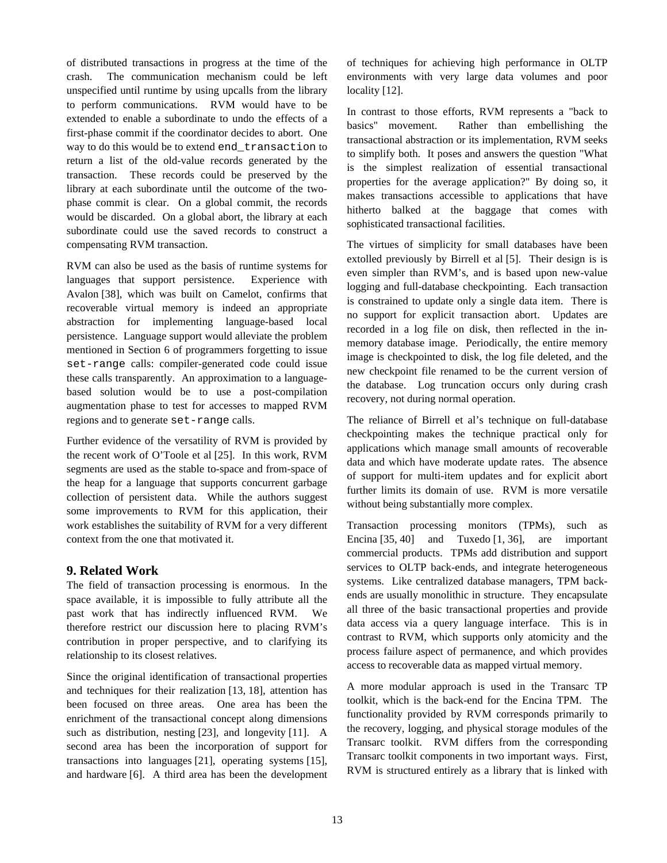of distributed transactions in progress at the time of the of techniques for achieving high performance in OLTP crash. The communication mechanism could be left environments with very large data volumes and poor unspecified until runtime by using upcalls from the library locality [12]. to perform communications. RVM would have to be<br>extended to enable a subordinate to undo the effects of a<br>first-phase commit if the coordinator decides to abort. One<br>way to do this would be to extend end\_transaction to<br>ret compensating RVM transaction. The virtues of simplicity for small databases have been

NVM can also be used as the basis of runtime systems for<br>
languages that support persistence. Experience with<br>
Avalon [38], which was built on Camelot, confirms that<br>
Avalon [38], which was built on Camelot, confirms that<br> regions and to generate set-range calls. The reliance of Birrell et al's technique on full-database

Further evidence of the versatility of RVM is provided by<br>the recent work of O'Toole et al [25]. In this work, RVM<br>segments are used as the stable to-space and from-space of<br>the heap for a language that supports concurrent work establishes the suitability of RVM for a very different Transaction processing monitors (TPMs), such as context from the one that motivated it. Encina [35, 40] and Tuxedo [1, 36], are important

Since the original identification of transactional properties<br>and techniques for their realization [13, 18], attention has<br>been focused on three areas. One area has been the toolkit, which is the back-end for the Encina TP enrichment of the transactional concept along dimensions<br>such as distribution, nesting [23], and longevity [11]. A<br>second area has been the incorporation of support for<br>transactions into languages [21], operating systems [

commercial products. TPMs add distribution and support **9. Related Work** services to OLTP back-ends, and integrate heterogeneous<br>The field of transaction processing is opermous. In the systems. Like centralized database managers, TPM back-The field of transaction processing is enormous. In the systems. Like centralized database managers, TPM back-<br>space available, it is impossible to fully attribute all the past work that has indirectly influenced RVM. We<br>t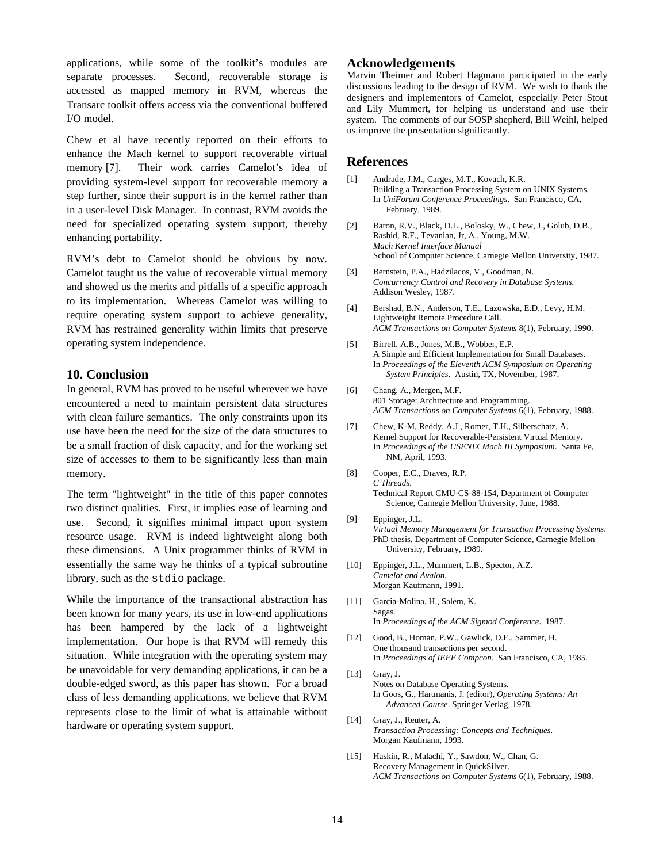applications, while some of the toolkit's modules are **Acknowledgements** separate processes. Second, recoverable storage is Marvin Theimer and Robert Hagmann participated in the early<br>accessed as manned mannery in PVM, whereas the discussions leading to the design of RVM. We wish to thank the

us improve the presentation significantly. Chew et al have recently reported on their efforts to enhance the Mach kernel to support recoverable virtual memory [7]. Their work carries Camelot's idea of **References** providing system-level support for recoverable memory a [1] Andrade, J.M., Carges, M.T., Kovach, K.R.<br>step further, since their support is in the kernel rather than In *UniForum Conference Proceedings*. San Francisco, CA,<br> in a user-level Disk Manager. In contrast, RVM avoids the need for specialized operating system support, thereby [2] Baron, R.V., Black, D.L., Bolosky, W., Chew, J., Golub, D.B.,

RVM's debt to Camelot should be obvious by now. School of Computer Science, Carnegie Mellon University, 1987. Camelot taught us the value of recoverable virtual memory [3] Bernstein, P.A., Hadzilacos, V., Goodman, N.<br>Concurrency Control and Recovery in Database Systems. and showed us the merits and pitfalls of a specific approach and *Concurrency Control and* Addison Wesley, 1987.<br>
to its implementation. Whereas Camelot was willing to to its implementation. Whereas Camelot was willing to [4] Bershad, B.N., Anderson, T.E., Lazowska, E.D., Levy, H.M. require operating system support to achieve generality, [4] Bershad, B.N., Anderson, T.E., Lazowska, E.D., RVM has restrained generality within limits that preserve operating system independence. [5] Birrell, A.B., Jones, M.B., Wobber, E.P.

In general, RVM has proved to be useful wherever we have [6] Chang, A., Mergen, M.F. encountered a need to maintain persistent data structures<br>with clean failure semantics. The only constraints upon its<br>use houe boon the need for the size of the date structures to [7] Chew, K-M, Reddy, A.J., Romer, T.H., S use have been the need for the size of the data structures to<br>be a small fraction of disk capacity, and for the working set<br>In *Proceedings of the USENIX Mach III Symposium*. Santa Fe. be a small fraction of disk capacity, and for the working set size of accesses to them to be significantly less than main NM, April, 1993. memory. [8] Cooper, E.C., Draves, R.P.

The term "lightweight" in the title of this paper connotes Technical Report CMU-CS-88-154, Department of Computer<br>Science, Carnegie Mellon University, June, 1988. two distinct qualities. First, it implies ease of learning and use. Second, it signifies minimal impact upon system [9] Eppinger, J.L.<br>
resource usage. RVM is indeed lightweight along both PhD thesis, Department of Computer Science, Carnegie Mellon these dimensions. A Unix programmer thinks of RVM in University, February, 1989. essentially the same way he thinks of a typical subroutine [10] Eppinger, J.L., Mummert, L.B., Spector, A.Z. library such as the st dio package Camelot and Avalon. library, such as the stdio package.<br>Morgan Kaufmann, 1991.

While the importance of the transactional abstraction has [11] Garcia-Molina, H., Salem, K. been known for many years, its use in low-end applications Sagas.<br>In Proceedings of the ACM Sigmod Conference. 1987. In *Proceedings of the Acm Sigmod Conference*. 1987.<br>
In *Proceedings of the ACM Sigmod Conference*. 1987.<br>
In *Proceedings of the ACM Sigmod Conference*. 1987. implementation. Our hope is that RVM will remedy this [12] Good, B., Homan, P.W., Gawlick, D.E., Sammer, H.<br>situation. While integration with the operating system may In Proceedings of IEEE Compcon. San Francisco, CA, 1985 be unavoidable for very demanding applications, it can be a  $\frac{13}{13}$  Gray, J. double-edged sword, as this paper has shown. For a broad Notes on Database Operating Systems.<br>
Shown Hotel DVM In Goos, G., Hartmanis, J. (editor), Operating Systems: An class of less demanding applications, we believe that RVM<br>represents close to the limit of what is attainable without<br>hardware or operating system support. [14] Gray, J., Reuter, A.<br>Transaction Processing: Concepts and Tec

accessed as mapped memory in RVM, whereas the discussions leading to the design of RVM. We wish to thank the<br>Transarc toolkit offers access via the conventional buffered<br>I/O model. system. The comments of our SOSP shepherd, Bill Weihl, helped

- 
- Rashid, R.F., Tevanian, Jr, A., Young, M.W. enhancing portability. *Mach Kernel Interface Manual*
	-
	-
- A Simple and Efficient Implementation for Small Databases. In *Proceedings of the Eleventh ACM Symposium on Operating* **10. Conclusion** *System Principles*. Austin, TX, November, 1987.
	-
	-
	- *C Threads*.
	-
	-
	-
	-
	-
	- Morgan Kaufmann, 1993.
	- [15] Haskin, R., Malachi, Y., Sawdon, W., Chan, G. Recovery Management in QuickSilver. *ACM Transactions on Computer Systems* 6(1), February, 1988.